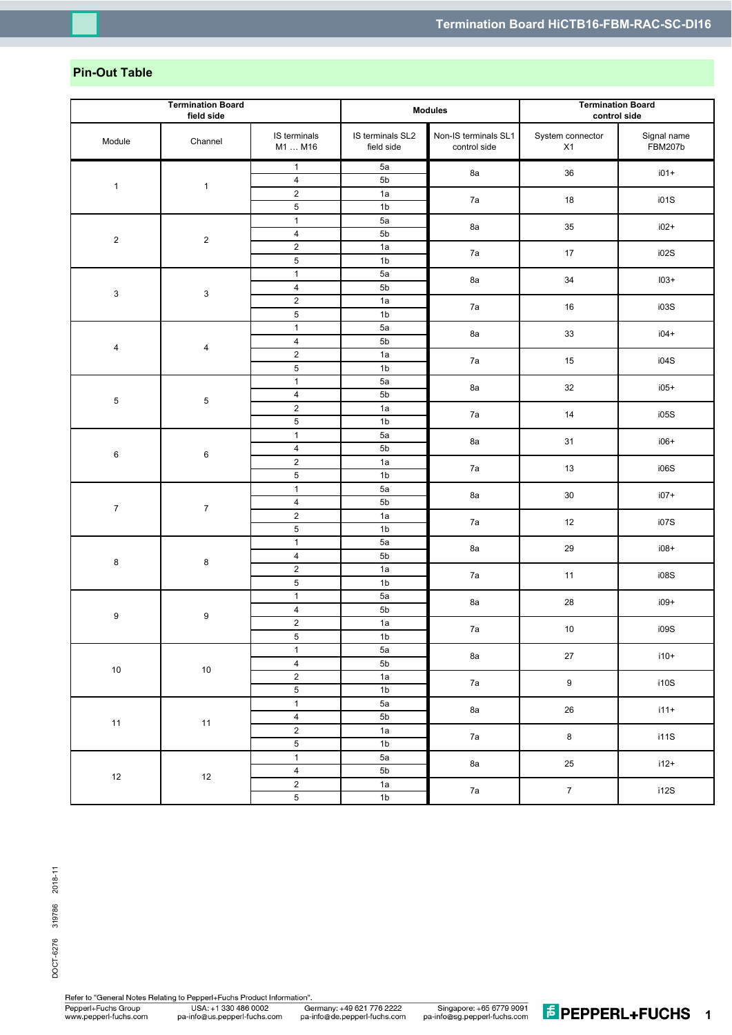## **Pin-Out Table**

| <b>Termination Board</b><br>field side |                           | <b>Modules</b>                   |                                | <b>Termination Board</b><br>control side |                        |                               |
|----------------------------------------|---------------------------|----------------------------------|--------------------------------|------------------------------------------|------------------------|-------------------------------|
| Module                                 | Channel                   | IS terminals<br>M1  M16          | IS terminals SL2<br>field side | Non-IS terminals SL1<br>control side     | System connector<br>X1 | Signal name<br><b>FBM207b</b> |
| $\mathbf{1}$                           |                           | $\mathbf{1}$                     | 5a                             | 8a                                       | 36                     | $i01+$                        |
|                                        | $\mathbf{1}$              | $\overline{4}$                   | 5b                             |                                          |                        |                               |
|                                        |                           | $\mathbf 2$                      | 1a                             | 7a                                       | 18                     | i01S                          |
|                                        |                           | $\mathbf 5$                      | 1 <sub>b</sub>                 |                                          |                        |                               |
|                                        | $\overline{\mathbf{c}}$   | $\overline{1}$                   | 5a                             | 8a                                       | 35                     | $i02+$                        |
| $\boldsymbol{2}$                       |                           | $\overline{4}$                   | 5 <sub>b</sub>                 |                                          |                        |                               |
|                                        |                           | $\mathbf 2$                      | 1a                             | 7a                                       | $17$                   | i02S                          |
|                                        |                           | $\,$ 5 $\,$                      | 1 <sub>b</sub>                 |                                          |                        |                               |
|                                        |                           | $\mathbf{1}$                     | 5a                             | 8a                                       | $34$                   | $103+$                        |
| $\ensuremath{\mathsf{3}}$              | $\ensuremath{\mathsf{3}}$ | $\overline{\mathbf{4}}$          | 5 <sub>b</sub>                 |                                          |                        |                               |
|                                        |                           | $\overline{2}$                   | 1a                             | 7a                                       | 16                     | i03S                          |
|                                        |                           | $\overline{5}$                   | 1 <sub>b</sub>                 |                                          |                        |                               |
|                                        |                           | $\mathbf{1}$                     | 5a                             | 8a                                       | 33                     | $i04+$                        |
| $\overline{\mathbf{4}}$                | $\overline{\mathbf{4}}$   | $\overline{4}$                   | 5b                             |                                          |                        |                               |
|                                        |                           | $\sqrt{2}$<br>$\overline{5}$     | 1a<br>1 <sub>b</sub>           | 7a                                       | 15                     | i04S                          |
|                                        |                           | $\mathbf{1}$                     | 5a                             |                                          |                        |                               |
|                                        |                           | $\overline{4}$                   | 5 <sub>b</sub>                 | 8a<br>7a                                 | 32<br>14               | $i05+$<br>i05S                |
| $\,$ 5 $\,$                            | $\mathbf 5$               | $\overline{2}$                   | 1a                             |                                          |                        |                               |
|                                        |                           | $\,$ 5 $\,$                      | 1 <sub>b</sub>                 |                                          |                        |                               |
|                                        | $\,6$                     | $\mathbf{1}$                     | 5a                             | 8a                                       | 31                     | $i06+$                        |
|                                        |                           | $\overline{4}$                   | 5 <sub>b</sub>                 |                                          |                        |                               |
| 6                                      |                           | $\overline{2}$                   | 1a                             | 7a                                       | 13                     | i06S                          |
|                                        |                           | $\,$ 5 $\,$                      | 1 <sub>b</sub>                 |                                          |                        |                               |
|                                        |                           | $\mathbf{1}$                     | 5a                             |                                          | $30\,$                 | $i07+$                        |
|                                        |                           | $\overline{\mathbf{4}}$          | 5 <sub>b</sub>                 | 8a                                       |                        |                               |
| $\boldsymbol{7}$                       | $\boldsymbol{7}$          | $\mathbf 2$                      | 1a                             | 7a                                       | 12                     | i07S                          |
|                                        |                           | $\,$ 5 $\,$                      | 1 <sub>b</sub>                 |                                          |                        |                               |
|                                        | 8                         | $\mathbf{1}$                     | 5a                             | 8a                                       | 29                     | $i08+$                        |
| 8                                      |                           | $\overline{4}$                   | 5b                             |                                          |                        |                               |
|                                        |                           | $\mathbf 2$                      | 1a                             | 7a                                       | 11                     | i08S                          |
|                                        |                           | $\mathbf 5$                      | 1 <sub>b</sub>                 |                                          |                        |                               |
|                                        | $\boldsymbol{9}$          | $\overline{1}$                   | 5a                             | 8a                                       | 28                     | $i09+$                        |
| 9                                      |                           | $\overline{4}$                   | 5 <sub>b</sub>                 |                                          |                        |                               |
|                                        |                           | $\mathbf 2$                      | 1a                             | 7a                                       | $10$                   | i09S                          |
|                                        |                           | $\mathbf 5$                      | 1 <sub>b</sub>                 |                                          |                        |                               |
|                                        |                           | $\mathbf{1}$                     | 5a                             | 8a<br>7a                                 | $27\,$                 | $i10+$                        |
| $10$                                   | $10\,$                    | $\overline{4}$                   | 5 <sub>b</sub>                 |                                          |                        |                               |
|                                        |                           | $\overline{2}$                   | 1a                             |                                          | $\boldsymbol{9}$       | i10S                          |
| 11                                     | $11$                      | $\overline{5}$<br>$\overline{1}$ | 1 <sub>b</sub>                 |                                          | $26\,$<br>$\bf 8$      | $i11+$<br>i11S                |
|                                        |                           | $\overline{4}$                   | 5a<br>5 <sub>b</sub>           | 8a                                       |                        |                               |
|                                        |                           | $\overline{2}$                   | 1a                             |                                          |                        |                               |
|                                        |                           | $\overline{5}$                   | 1 <sub>b</sub>                 | $7\mathrm{a}$                            |                        |                               |
|                                        |                           | $\overline{1}$                   | 5a                             |                                          |                        |                               |
|                                        | $12\,$                    | $\overline{4}$                   | 5 <sub>b</sub>                 | 8a<br>$7\mathrm{a}$                      | $25\,$                 | $i12+$                        |
| 12                                     |                           | $\overline{2}$                   | 1a                             |                                          |                        |                               |
|                                        |                           | $\overline{5}$                   | 1 <sub>b</sub>                 |                                          | $\boldsymbol{7}$       | i12S                          |

Refer to "General Notes Relating to Pepperl+Fuchs Product Information". Pepperl+Fuchs Group<br>www.pepperl-fuchs.com USA: +1 330 486 0002<br>pa-info@us.pepperl-fuchs.com

Germany: +49 621 776 2222<br>pa-info@de.pepperl-fuchs.com

Singapore: +65 6779 9091<br>pa-info@sg.pepperl-fuchs.com

**1***<u>E* PEPPERL+FUCHS 1</u>